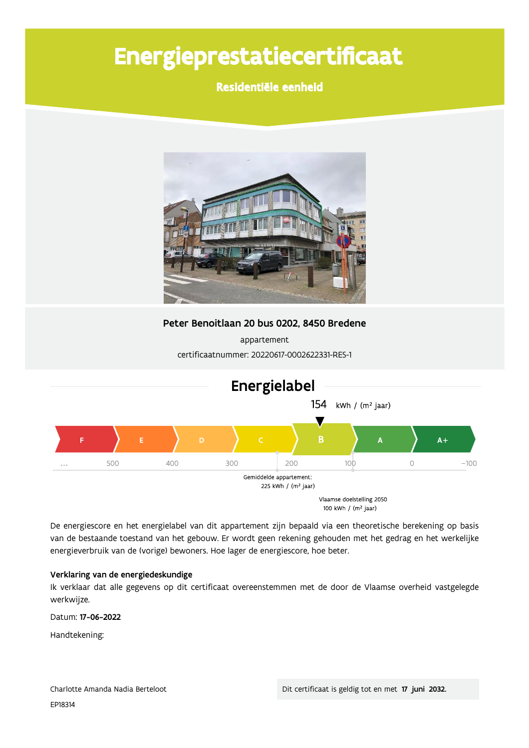# Energieprestatiecertificaat

Residentiële eenheid



Peter Benoitlaan 20 bus 0202, 8450 Bredene

appartement certificaatnummer: 20220617-0002622331-RES-1



De energiescore en het energielabel van dit appartement zijn bepaald via een theoretische berekening op basis van de bestaande toestand van het gebouw. Er wordt geen rekening gehouden met het gedrag en het werkelijke energieverbruik van de (vorige) bewoners. Hoe lager de energiescore, hoe beter.

# Verklaring van de energiedeskundige

Ik verklaar dat alle gegevens op dit certificaat overeenstemmen met de door de Vlaamse overheid vastgelegde werkwijze.

Datum: 17-06-2022

Handtekening: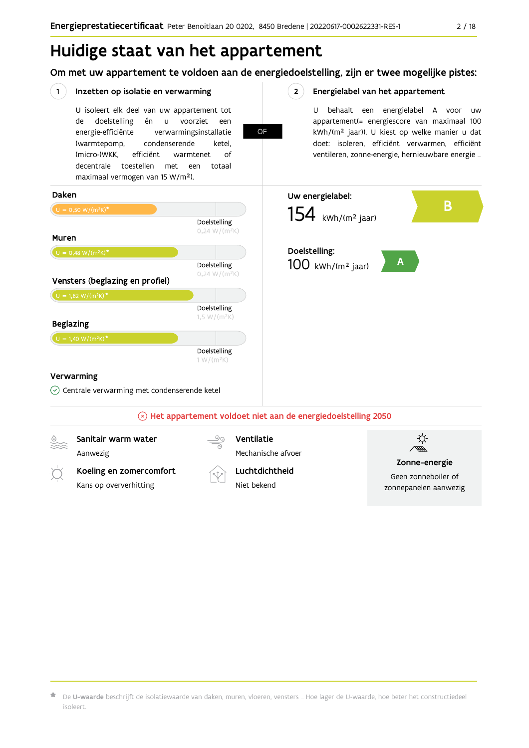# Huidige staat van het appartement

Om met uw appartement te voldoen aan de energiedoelstelling, zijn er twee mogelijke pistes:

**OF** 

 $2^{\circ}$ 

### $(1)$ Inzetten op isolatie en verwarming

U isoleert elk deel van uw appartement tot doelstelling én voorziet de  $\mathsf{u}$ een energie-efficiënte verwarmingsinstallatie (warmtepomp, condenserende ketel, (micro-)WKK. efficiënt warmtenet  $\bigcap_{ }$ decentrale toestellen met een totaal maximaal vermogen van 15 W/m<sup>2</sup>).

# Energielabel van het appartement

U behaalt een energielabel A voor  $\overline{U}$ appartement(= energiescore van maximaal 100 kWh/(m<sup>2</sup> jaar)). U kiest op welke manier u dat doet: isoleren, efficiënt verwarmen, efficiënt ventileren, zonne-energie, hernieuwbare energie ...



 $\star$  De **U-waarde** beschrijft de isolatiewaarde van daken, muren, vloeren, vensters … Hoe lager de U-waarde, hoe beter het constructiedeel isoleert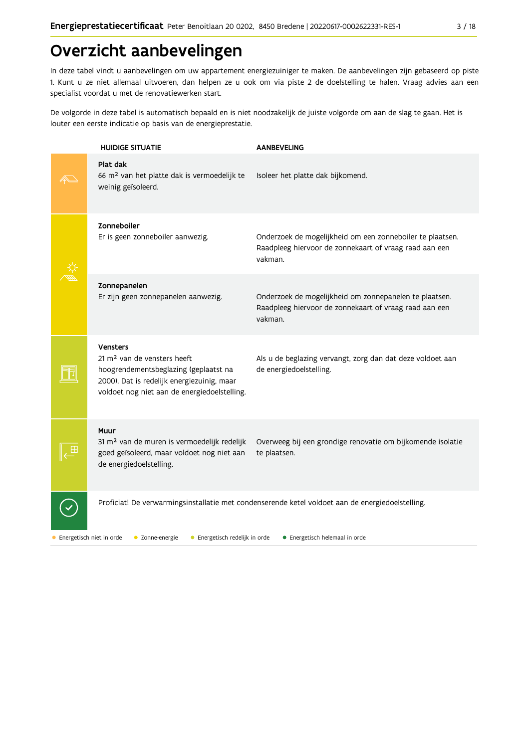# Overzicht aanbevelingen

In deze tabel vindt u aanbevelingen om uw appartement energiezuiniger te maken. De aanbevelingen zijn gebaseerd op piste 1. Kunt u ze niet allemaal uitvoeren, dan helpen ze u ook om via piste 2 de doelstelling te halen. Vraag advies aan een specialist voordat u met de renovatiewerken start.

De volgorde in deze tabel is automatisch bepaald en is niet noodzakelijk de juiste volgorde om aan de slag te gaan. Het is louter een eerste indicatie op basis van de energieprestatie.

| <b>HUIDIGE SITUATIE</b>                                                                                                                                                                    | <b>AANBEVELING</b>                                                                                                             |
|--------------------------------------------------------------------------------------------------------------------------------------------------------------------------------------------|--------------------------------------------------------------------------------------------------------------------------------|
| Plat dak<br>66 m <sup>2</sup> van het platte dak is vermoedelijk te<br>weinig geïsoleerd.                                                                                                  | Isoleer het platte dak bijkomend.                                                                                              |
| Zonneboiler<br>Er is geen zonneboiler aanwezig.                                                                                                                                            | Onderzoek de mogelijkheid om een zonneboiler te plaatsen.<br>Raadpleeg hiervoor de zonnekaart of vraag raad aan een<br>vakman. |
| Zonnepanelen<br>Er zijn geen zonnepanelen aanwezig.                                                                                                                                        | Onderzoek de mogelijkheid om zonnepanelen te plaatsen.<br>Raadpleeg hiervoor de zonnekaart of vraag raad aan een<br>vakman.    |
| Vensters<br>21 m <sup>2</sup> van de vensters heeft<br>hoogrendementsbeglazing (geplaatst na<br>2000). Dat is redelijk energiezuinig, maar<br>voldoet nog niet aan de energiedoelstelling. | Als u de beglazing vervangt, zorg dan dat deze voldoet aan<br>de energiedoelstelling.                                          |
| Muur<br>31 m <sup>2</sup> van de muren is vermoedelijk redelijk<br>goed geïsoleerd, maar voldoet nog niet aan<br>de energiedoelstelling.                                                   | Overweeg bij een grondige renovatie om bijkomende isolatie<br>te plaatsen.                                                     |
|                                                                                                                                                                                            | Proficiat! De verwarmingsinstallatie met condenserende ketel voldoet aan de energiedoelstelling.                               |
| Energetisch niet in orde<br>• Energetisch redelijk in orde<br>• Zonne-energie                                                                                                              | • Energetisch helemaal in orde                                                                                                 |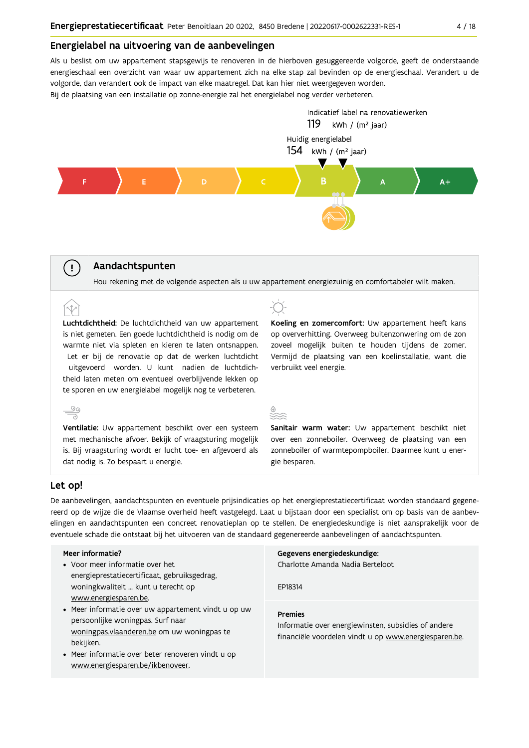# Energielabel na uitvoering van de aanbevelingen

Als u beslist om uw appartement stapsgewijs te renoveren in de hierboven gesuggereerde volgorde, geeft de onderstaande energieschaal een overzicht van waar uw appartement zich na elke stap zal bevinden op de energieschaal. Verandert u de volgorde, dan verandert ook de impact van elke maatregel. Dat kan hier niet weergegeven worden. Bij de plaatsing van een installatie op zonne-energie zal het energielabel nog verder verbeteren.



# Aandachtspunten

Hou rekening met de volgende aspecten als u uw appartement energiezuinig en comfortabeler wilt maken.

Luchtdichtheid: De luchtdichtheid van uw appartement is niet gemeten. Een goede luchtdichtheid is nodig om de warmte niet via spleten en kieren te laten ontsnappen. Let er bij de renovatie op dat de werken luchtdicht uitgevoerd worden. U kunt nadien de luchtdichtheid laten meten om eventueel overblijvende lekken op te sporen en uw energielabel mogelijk nog te verbeteren.

Ventilatie: Uw appartement beschikt over een systeem met mechanische afvoer. Bekijk of vraagsturing mogelijk is. Bij vraagsturing wordt er lucht toe- en afgevoerd als dat nodig is. Zo bespaart u energie.

Koeling en zomercomfort: Uw appartement heeft kans op oververhitting. Overweeg buitenzonwering om de zon zoveel mogelijk buiten te houden tijdens de zomer. Vermijd de plaatsing van een koelinstallatie, want die verbruikt veel energie.



Sanitair warm water: Uw appartement beschikt niet over een zonneboiler. Overweeg de plaatsing van een zonneboiler of warmtepompboiler. Daarmee kunt u energie besparen.

# Let op!

 $\stackrel{\circ}{\equiv}$ 

 $\left(\begin{array}{c} \cdot \end{array}\right)$ 

De aanbevelingen, aandachtspunten en eventuele prijsindicaties op het energieprestatiecertificaat worden standaard gegenereerd op de wijze die de Vlaamse overheid heeft vastgelegd. Laat u bijstaan door een specialist om op basis van de aanbevelingen en aandachtspunten een concreet renovatieplan op te stellen. De energiedeskundige is niet aansprakelijk voor de eventuele schade die ontstaat bij het uitvoeren van de standaard gegenereerde aanbevelingen of aandachtspunten.

### Meer informatie?

- Voor meer informatie over het energieprestatiecertificaat, gebruiksgedrag, woningkwaliteit ... kunt u terecht op www.energiesparen.be.
- Meer informatie over uw appartement vindt u op uw persoonlijke woningpas. Surf naar woningpas.vlaanderen.be om uw woningpas te bekijken.
- Meer informatie over beter renoveren vindt u op www.energiesparen.be/ikbenoveer.

### Gegevens energiedeskundige:

Charlotte Amanda Nadia Berteloot

FP18314

### **Premies**

Informatie over energiewinsten, subsidies of andere financiële voordelen vindt u op www.energiesparen.be.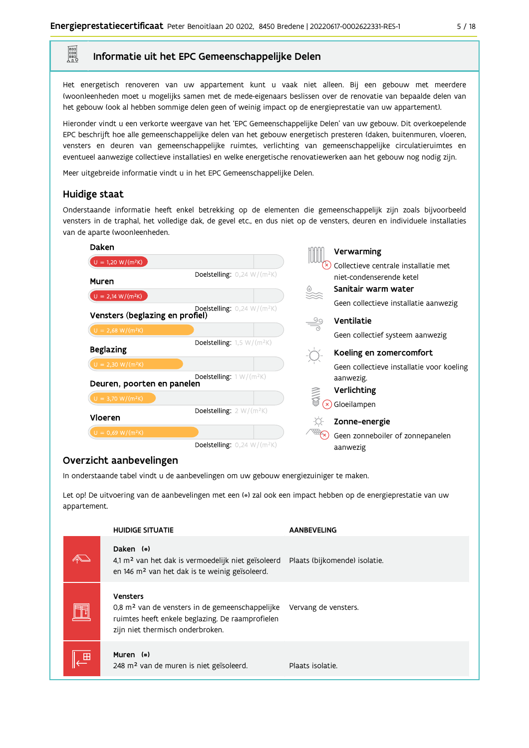# Informatie uit het EPC Gemeenschappelijke Delen

Het energetisch renoveren van uw appartement kunt u vaak niet alleen. Bij een gebouw met meerdere (woon)eenheden moet u mogelijks samen met de mede-eigenaars beslissen over de renovatie van bepaalde delen van het gebouw (ook al hebben sommige delen geen of weinig impact op de energieprestatie van uw appartement).

Hieronder vindt u een verkorte weergave van het 'EPC Gemeenschappelijke Delen' van uw gebouw. Dit overkoepelende EPC beschrijft hoe alle gemeenschappelijke delen van het gebouw energetisch presteren (daken, buitenmuren, vloeren, vensters en deuren van gemeenschappelijke ruimtes, verlichting van gemeenschappelijke circulatieruimtes en eventueel aanwezige collectieve installaties) en welke energetische renovatiewerken aan het gebouw nog nodig zijn.

Meer uitgebreide informatie vindt u in het EPC Gemeenschappelijke Delen.

# Huidige staat

E

Onderstaande informatie heeft enkel betrekking op de elementen die gemeenschappelijk zijn zoals bijvoorbeeld vensters in de traphal, het volledige dak, de gevel etc., en dus niet op de vensters, deuren en individuele installaties van de aparte (woon)eenheden.

| Daken                           |                                                    |               | Verwarming                                |
|---------------------------------|----------------------------------------------------|---------------|-------------------------------------------|
| $U = 1,20 W/(m^2K)$             |                                                    |               | Collectieve centrale installatie met      |
| Muren                           | <b>Doelstelling:</b> $0,24$ W/(m <sup>2</sup> K)   |               | niet-condenserende ketel                  |
| $U = 2,14 W/(m^2K)$             |                                                    |               | Sanitair warm water                       |
|                                 | Doelstelling: $0,24$ W/(m <sup>2</sup> K)          |               | Geen collectieve installatie aanwezig     |
| Vensters (beglazing en profiel) |                                                    | $\frac{5}{2}$ | Ventilatie                                |
| $U = 2,68 W/(m^2K)$             |                                                    |               | Geen collectief systeem aanwezig          |
| <b>Beglazing</b>                | Doelstelling: $1,5 \text{ W}/(\text{m}^2\text{K})$ |               | Koeling en zomercomfort                   |
| $U = 2,30 W/(m^2K)$             |                                                    |               | Geen collectieve installatie voor koeling |
| Deuren, poorten en panelen      | Doelstelling: $1 W/(m^2K)$                         |               | aanwezig.                                 |
|                                 |                                                    |               | Verlichting                               |
| $U = 3,70 W/(m^2K)$             |                                                    | 人类            | Gloeilampen                               |
| Vloeren                         | Doelstelling: $2 W/(m^2K)$                         |               | Zonne-energie                             |
| $U = 0,69 W/(m^2K)$             |                                                    |               | Geen zonneboiler of zonnepanelen          |
|                                 | <b>Doelstelling:</b> $0,24$ W/(m <sup>2</sup> K)   |               | aanwezig                                  |

# Overzicht aanbevelingen

In onderstaande tabel vindt u de aanbevelingen om uw gebouw energiezuiniger te maken.

Let op! De uitvoering van de aanbevelingen met een (\*) zal ook een impact hebben op de energieprestatie van uw appartement.

| <b>HUIDIGE SITUATIE</b>                                                                                                                                                | <b>AANBEVELING</b>            |
|------------------------------------------------------------------------------------------------------------------------------------------------------------------------|-------------------------------|
| Daken (*)<br>4,1 m <sup>2</sup> van het dak is vermoedelijk niet geïsoleerd<br>en 146 m <sup>2</sup> van het dak is te weinig geïsoleerd.                              | Plaats (bijkomende) isolatie. |
| <b>Vensters</b><br>0,8 m <sup>2</sup> van de vensters in de gemeenschappelijke<br>ruimtes heeft enkele beglazing. De raamprofielen<br>zijn niet thermisch onderbroken. | Vervang de vensters.          |
| Muren (*)<br>248 m <sup>2</sup> van de muren is niet geïsoleerd.                                                                                                       | Plaats isolatie.              |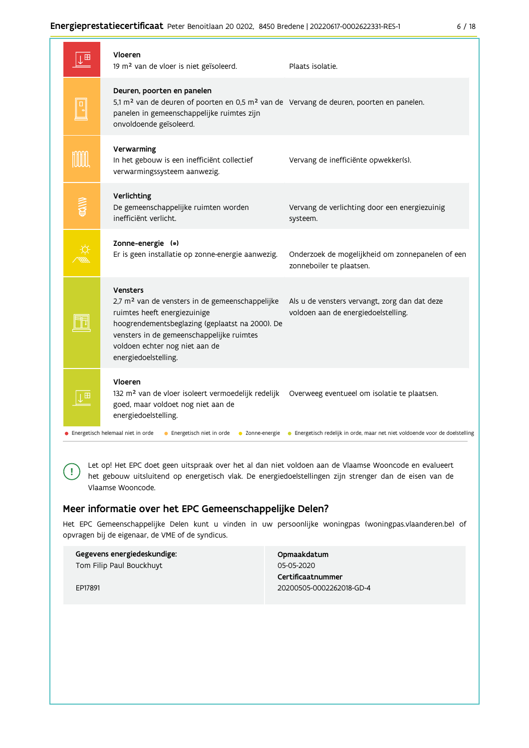# Energieprestatiecertificaat Peter Benoitlaan 20 0202, 8450 Bredene | 20220617-0002622331-RES-1

| ×<br>×<br>۰, | ۰. |
|--------------|----|
|--------------|----|

| Ш | Vloeren<br>19 m <sup>2</sup> van de vloer is niet geïsoleerd.                                                                                                                                                                                                            | Plaats isolatie.                                                                             |
|---|--------------------------------------------------------------------------------------------------------------------------------------------------------------------------------------------------------------------------------------------------------------------------|----------------------------------------------------------------------------------------------|
|   | Deuren, poorten en panelen<br>5,1 m <sup>2</sup> van de deuren of poorten en 0,5 m <sup>2</sup> van de Vervang de deuren, poorten en panelen.<br>panelen in gemeenschappelijke ruimtes zijn<br>onvoldoende geïsoleerd.                                                   |                                                                                              |
|   | Verwarming<br>In het gebouw is een inefficiënt collectief<br>verwarmingssysteem aanwezig.                                                                                                                                                                                | Vervang de inefficiënte opwekker(s).                                                         |
|   | Verlichting<br>De gemeenschappelijke ruimten worden<br>inefficiënt verlicht.                                                                                                                                                                                             | Vervang de verlichting door een energiezuinig<br>systeem.                                    |
|   | Zonne-energie (*)<br>Er is geen installatie op zonne-energie aanwezig.                                                                                                                                                                                                   | Onderzoek de mogelijkheid om zonnepanelen of een<br>zonneboiler te plaatsen.                 |
|   | <b>Vensters</b><br>2,7 m <sup>2</sup> van de vensters in de gemeenschappelijke<br>ruimtes heeft energiezuinige<br>hoogrendementsbeglazing (geplaatst na 2000). De<br>vensters in de gemeenschappelijke ruimtes<br>voldoen echter nog niet aan de<br>energiedoelstelling. | Als u de vensters vervangt, zorg dan dat deze<br>voldoen aan de energiedoelstelling.         |
|   | Vloeren<br>132 m <sup>2</sup> van de vloer isoleert vermoedelijk redelijk<br>goed, maar voldoet nog niet aan de<br>energiedoelstelling.                                                                                                                                  | Overweeg eventueel om isolatie te plaatsen.                                                  |
|   | • Energetisch helemaal niet in orde<br>• Energetisch niet in orde                                                                                                                                                                                                        | • Zonne-energie • Energetisch redelijk in orde, maar net niet voldoende voor de doelstelling |

Let op! Het EPC doet geen uitspraak over het al dan niet voldoen aan de Vlaamse Wooncode en evalueert het gebouw uitsluitend op energetisch vlak. De energiedoelstellingen zijn strenger dan de eisen van de Vlaamse Wooncode.

# Meer informatie over het EPC Gemeenschappelijke Delen?

Het EPC Gemeenschappelijke Delen kunt u vinden in uw persoonlijke woningpas (woningpas.vlaanderen.be) of opvragen bij de eigenaar, de VME of de syndicus.

| Gegevens energiedeskundige: |
|-----------------------------|
| Tom Filip Paul Bouckhuyt    |
|                             |
| FP17891                     |

 $\left( \cdot \right)$ 

Opmaakdatum 05-05-2020 Certificaatnummer 20200505-0002262018-GD-4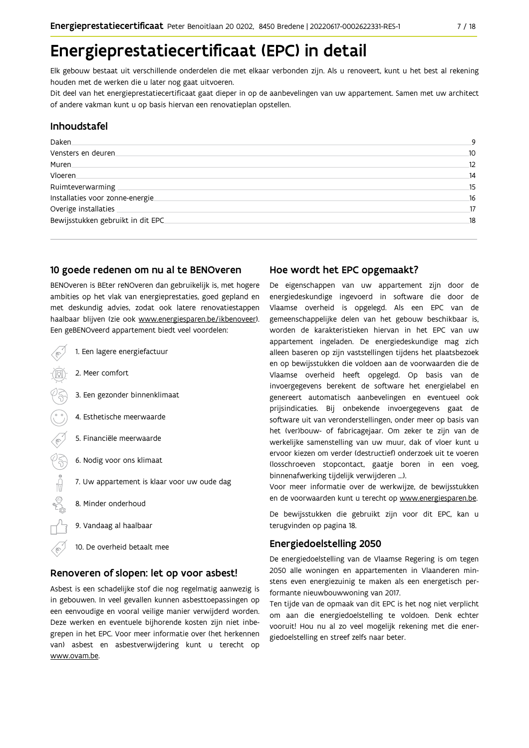# Energieprestatiecertificaat (EPC) in detail

Elk gebouw bestaat uit verschillende onderdelen die met elkaar verbonden zijn. Als u renoveert, kunt u het best al rekening houden met de werken die u later nog gaat uitvoeren.

Dit deel van het energieprestatiecertificaat gaat dieper in op de aanbevelingen van uw appartement. Samen met uw architect of andere vakman kunt u op basis hiervan een renovatieplan opstellen.

# Inhoudstafel

| Daken.                            | 9  |
|-----------------------------------|----|
| Vensters en deuren                | 10 |
| Muren.                            | 12 |
| Vloeren                           | 14 |
| Ruimteverwarming                  | 15 |
| Installaties voor zonne-energie.  | 16 |
| Overige installaties              | 17 |
| Bewijsstukken gebruikt in dit EPC | 18 |
|                                   |    |

# 10 goede redenen om nu al te BENOveren

BENOveren is BEter reNOveren dan gebruikelijk is, met hogere ambities op het vlak van energieprestaties, goed gepland en met deskundig advies, zodat ook latere renovatiestappen haalbaar blijven (zie ook www.energiesparen.be/ikbenoveer). Een geBENOveerd appartement biedt veel voordelen:

| 1. Een lagere energiefactuur                |
|---------------------------------------------|
| 2. Meer comfort                             |
| 3. Een gezonder binnenklimaat               |
| 4. Esthetische meerwaarde                   |
| 5. Financiële meerwaarde                    |
| 6. Nodig voor ons klimaat                   |
| 7. Uw appartement is klaar voor uw oude dag |
| 8. Minder onderhoud                         |
| 9. Vandaag al haalbaar                      |
| 10. De overheid betaalt mee                 |

# Renoveren of slopen: let op voor asbest!

Asbest is een schadelijke stof die nog regelmatig aanwezig is in gebouwen. In veel gevallen kunnen asbesttoepassingen op een eenvoudige en vooral veilige manier verwijderd worden. Deze werken en eventuele bijhorende kosten zijn niet inbegrepen in het EPC. Voor meer informatie over (het herkennen van) asbest en asbestverwijdering kunt u terecht op www.ovam.be.

# Hoe wordt het EPC opgemaakt?

De eigenschappen van uw appartement zijn door de energiedeskundige ingevoerd in software die door de Vlaamse overheid is opgelegd. Als een EPC van de gemeenschappelijke delen van het gebouw beschikbaar is, worden de karakteristieken hiervan in het EPC van uw appartement ingeladen. De energiedeskundige mag zich alleen baseren op zijn vaststellingen tijdens het plaatsbezoek en op bewijsstukken die voldoen aan de voorwaarden die de Vlaamse overheid heeft opgelegd. Op basis van de invoergegevens berekent de software het energielabel en genereert automatisch aanbevelingen en eventueel ook prijsindicaties. Bij onbekende invoergegevens gaat de software uit van veronderstellingen, onder meer op basis van het (ver)bouw- of fabricagejaar. Om zeker te zijn van de werkelijke samenstelling van uw muur, dak of vloer kunt u ervoor kiezen om verder (destructief) onderzoek uit te voeren (losschroeven stopcontact, gaatje boren in een voeg, binnenafwerking tijdelijk verwijderen ...).

Voor meer informatie over de werkwijze, de bewijsstukken en de voorwaarden kunt u terecht op www.energiesparen.be.

De bewijsstukken die gebruikt zijn voor dit EPC, kan u terugvinden op pagina 18.

# **Energiedoelstelling 2050**

De energiedoelstelling van de Vlaamse Regering is om tegen 2050 alle woningen en appartementen in Vlaanderen minstens even energiezuinig te maken als een energetisch performante nieuwbouwwoning van 2017.

Ten tijde van de opmaak van dit EPC is het nog niet verplicht om aan die energiedoelstelling te voldoen. Denk echter vooruit! Hou nu al zo veel mogelijk rekening met die energiedoelstelling en streef zelfs naar beter.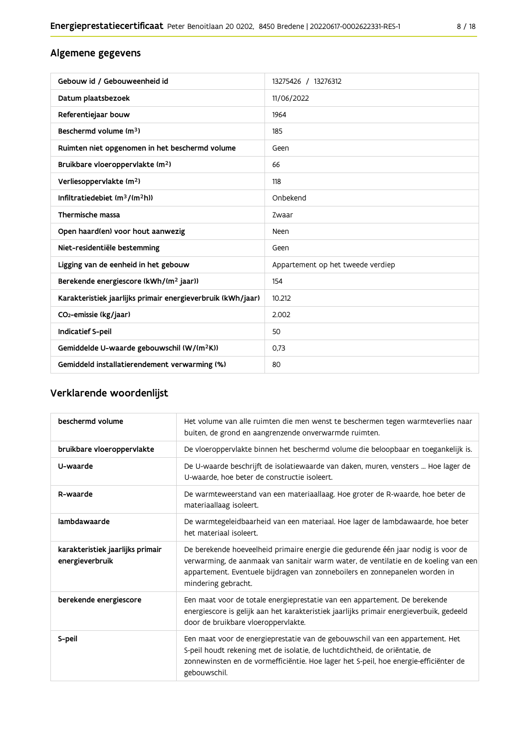# Algemene gegevens

| Gebouw id / Gebouweenheid id                                | 13275426 / 13276312               |
|-------------------------------------------------------------|-----------------------------------|
| Datum plaatsbezoek                                          | 11/06/2022                        |
| Referentiejaar bouw                                         | 1964                              |
| Beschermd volume (m <sup>3</sup> )                          | 185                               |
| Ruimten niet opgenomen in het beschermd volume              | Geen                              |
| Bruikbare vloeroppervlakte (m <sup>2</sup> )                | 66                                |
| Verliesoppervlakte (m <sup>2</sup> )                        | 118                               |
| Infiltratiedebiet $(m^3/(m^2h))$                            | Onbekend                          |
| Thermische massa                                            | Zwaar                             |
| Open haard(en) voor hout aanwezig                           | Neen                              |
| Niet-residentiële bestemming                                | Geen                              |
| Ligging van de eenheid in het gebouw                        | Appartement op het tweede verdiep |
| Berekende energiescore (kWh/(m <sup>2</sup> jaar))          | 154                               |
| Karakteristiek jaarlijks primair energieverbruik (kWh/jaar) | 10.212                            |
| CO <sub>2</sub> -emissie (kg/jaar)                          | 2.002                             |
| Indicatief S-peil                                           | 50                                |
| Gemiddelde U-waarde gebouwschil (W/(m <sup>2</sup> K))      | 0,73                              |
| Gemiddeld installatierendement verwarming (%)               | 80                                |

# Verklarende woordenlijst

| beschermd volume                                    | Het volume van alle ruimten die men wenst te beschermen tegen warmteverlies naar<br>buiten, de grond en aangrenzende onverwarmde ruimten.                                                                                                                                      |
|-----------------------------------------------------|--------------------------------------------------------------------------------------------------------------------------------------------------------------------------------------------------------------------------------------------------------------------------------|
| bruikbare vloeroppervlakte                          | De vloeroppervlakte binnen het beschermd volume die beloopbaar en toegankelijk is.                                                                                                                                                                                             |
| U-waarde                                            | De U-waarde beschrijft de isolatiewaarde van daken, muren, vensters  Hoe lager de<br>U-waarde, hoe beter de constructie isoleert.                                                                                                                                              |
| R-waarde                                            | De warmteweerstand van een materiaallaag. Hoe groter de R-waarde, hoe beter de<br>materiaallaag isoleert.                                                                                                                                                                      |
| lambdawaarde                                        | De warmtegeleidbaarheid van een materiaal. Hoe lager de lambdawaarde, hoe beter<br>het materiaal isoleert.                                                                                                                                                                     |
| karakteristiek jaarlijks primair<br>energieverbruik | De berekende hoeveelheid primaire energie die gedurende één jaar nodig is voor de<br>verwarming, de aanmaak van sanitair warm water, de ventilatie en de koeling van een<br>appartement. Eventuele bijdragen van zonneboilers en zonnepanelen worden in<br>mindering gebracht. |
| berekende energiescore                              | Een maat voor de totale energieprestatie van een appartement. De berekende<br>energiescore is gelijk aan het karakteristiek jaarlijks primair energieverbuik, gedeeld<br>door de bruikbare vloeroppervlakte.                                                                   |
| S-peil                                              | Een maat voor de energieprestatie van de gebouwschil van een appartement. Het<br>S-peil houdt rekening met de isolatie, de luchtdichtheid, de oriëntatie, de<br>zonnewinsten en de vormefficiëntie. Hoe lager het S-peil, hoe energie-efficiënter de<br>gebouwschil.           |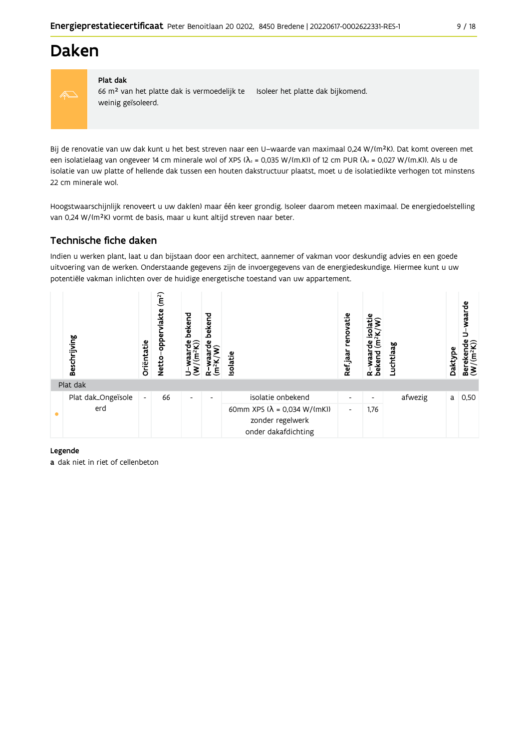

# Plat dak

66 m<sup>2</sup> van het platte dak is vermoedelijk te Isoleer het platte dak bijkomend. weinig geïsoleerd.

Bij de renovatie van uw dak kunt u het best streven naar een U-waarde van maximaal 0,24 W/(m<sup>2</sup>K). Dat komt overeen met een isolatielaag van ongeveer 14 cm minerale wol of XPS ( $\lambda_d$  = 0,035 W/(m.K)) of 12 cm PUR ( $\lambda_d$  = 0,027 W/(m.K)). Als u de isolatie van uw platte of hellende dak tussen een houten dakstructuur plaatst, moet u de isolatiedikte verhogen tot minstens 22 cm minerale wol.

Hoogstwaarschijnlijk renoveert u uw dak(en) maar één keer grondig. Isoleer daarom meteen maximaal. De energiedoelstelling van 0,24 W/(m<sup>2</sup>K) vormt de basis, maar u kunt altijd streven naar beter.

# Technische fiche daken

Indien u werken plant, laat u dan bijstaan door een architect, aannemer of vakman voor deskundig advies en een goede uitvoering van de werken. Onderstaande gegevens zijn de invoergegevens van de energiedeskundige. Hiermee kunt u uw potentiële vakman inlichten over de huidige energetische toestand van uw appartement.

| Beschrijving       | Oriëntatie                   | (m <sup>2</sup> )<br>lakte<br>opper<br><b>Netto</b> | bekend<br>$\frac{Waarde}{m^2K)}$<br>$\overline{\epsilon}$<br>∍ | bekend<br>뽑<br>$(m^2K)$<br>≃ | Isolatie                                                                               | renovatie<br>Ref jaar    | isolatie<br>⊻<br>$\sum_{i=1}^{n}$<br>운<br>R-waar<br>bekend | Luchtlaag | Daktype | waarde<br>Berekende<br>(W/(m <sup>2</sup> K)) |
|--------------------|------------------------------|-----------------------------------------------------|----------------------------------------------------------------|------------------------------|----------------------------------------------------------------------------------------|--------------------------|------------------------------------------------------------|-----------|---------|-----------------------------------------------|
| Plat dak           |                              |                                                     |                                                                |                              |                                                                                        |                          |                                                            |           |         |                                               |
| Plat dak_Ongeïsole | $\qquad \qquad \blacksquare$ | 66                                                  | $\overline{\phantom{a}}$                                       | $\overline{\phantom{0}}$     | isolatie onbekend                                                                      | $\overline{\phantom{a}}$ | $\overline{\phantom{a}}$                                   | afwezig   | a       | 0,50                                          |
| erd                |                              |                                                     |                                                                |                              | 60mm XPS $(\lambda = 0.034 \text{ W/(mK)})$<br>zonder regelwerk<br>onder dakafdichting | $\overline{\phantom{a}}$ | 1,76                                                       |           |         |                                               |

# Legende

a dak niet in riet of cellenbeton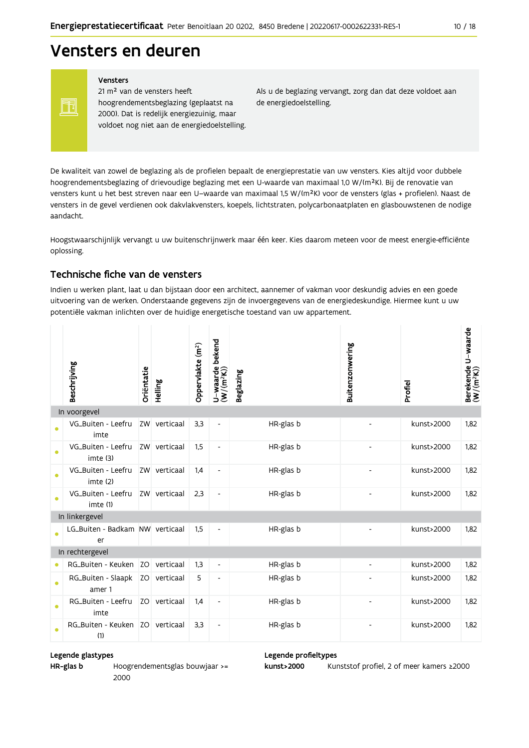# Vensters en deuren

FF

# Vensters

21 m<sup>2</sup> van de vensters heeft hoogrendementsbeglazing (geplaatst na 2000). Dat is redelijk energiezuinig, maar voldoet nog niet aan de energiedoelstelling. Als u de beglazing vervangt, zorg dan dat deze voldoet aan de energiedoelstelling.

De kwaliteit van zowel de beglazing als de profielen bepaalt de energieprestatie van uw vensters. Kies altijd voor dubbele hoogrendementsbeglazing of drievoudige beglazing met een U-waarde van maximaal 1,0 W/(m<sup>2</sup>K). Bij de renovatie van vensters kunt u het best streven naar een U-waarde van maximaal 1,5 W/(m<sup>2</sup>K) voor de vensters (glas + profielen). Naast de vensters in de gevel verdienen ook dakvlakvensters, koepels, lichtstraten, polycarbonaatplaten en glasbouwstenen de nodige aandacht.

Hoogstwaarschijnlijk vervangt u uw buitenschrijnwerk maar één keer. Kies daarom meteen voor de meest energie-efficiënte oplossing.

# Technische fiche van de vensters

Indien u werken plant, laat u dan bijstaan door een architect, aannemer of vakman voor deskundig advies en een goede uitvoering van de werken. Onderstaande gegevens zijn de invoergegevens van de energiedeskundige. Hiermee kunt u uw potentiële vakman inlichten over de huidige energetische toestand van uw appartement.

|           | Beschrijving                          | Oriëntatie | Helling      | Oppervlakte (m <sup>2</sup> ) | bekend<br>U-waarde l<br>(W/(m <sup>2</sup> K)) | <b>Beglazing</b> | Buitenzonwering | Profiel    | Berekende U-waarde<br>(W/(m <sup>2</sup> K)) |
|-----------|---------------------------------------|------------|--------------|-------------------------------|------------------------------------------------|------------------|-----------------|------------|----------------------------------------------|
|           | In voorgevel                          |            |              |                               |                                                |                  |                 |            |                                              |
| $\bullet$ | VG_Buiten - Leefru<br>imte            |            | ZW verticaal | 3,3                           |                                                | HR-glas b        |                 | kunst>2000 | 1,82                                         |
| ●         | VG_Buiten - Leefru<br>imte (3)        |            | ZW verticaal | 1,5                           | $\overline{\phantom{a}}$                       | HR-glas b        |                 | kunst>2000 | 1,82                                         |
| $\bullet$ | VG_Buiten - Leefru<br>imte (2)        |            | ZW verticaal | 1,4                           | $\overline{\phantom{a}}$                       | HR-glas b        |                 | kunst>2000 | 1.82                                         |
| $\bullet$ | VG_Buiten - Leefru<br>imte (1)        |            | ZW verticaal | 2.3                           | $\overline{\phantom{a}}$                       | HR-glas b        |                 | kunst>2000 | 1.82                                         |
|           | In linkergevel                        |            |              |                               |                                                |                  |                 |            |                                              |
| $\bullet$ | LG_Buiten - Badkam NW verticaal<br>er |            |              | 1,5                           |                                                | HR-glas b        |                 | kunst>2000 | 1.82                                         |
|           | In rechtergevel                       |            |              |                               |                                                |                  |                 |            |                                              |
| $\bullet$ | RG_Buiten - Keuken                    |            | ZO verticaal | 1,3                           | $\overline{\phantom{a}}$                       | HR-glas b        |                 | kunst>2000 | 1,82                                         |
| $\bullet$ | RG_Buiten - Slaapk<br>amer 1          |            | ZO verticaal | 5                             | $\overline{a}$                                 | HR-glas b        |                 | kunst>2000 | 1.82                                         |
| $\bullet$ | RG_Buiten - Leefru<br>imte            |            | ZO verticaal | 1,4                           | $\overline{\phantom{a}}$                       | HR-glas b        |                 | kunst>2000 | 1,82                                         |
|           | RG_Buiten - Keuken<br>(1)             |            | ZO verticaal | 3,3                           | $\overline{\phantom{a}}$                       | HR-glas b        | $\overline{a}$  | kunst>2000 | 1,82                                         |

# Legende glastypes

HR-glas b Hoogrendementsglas bouwjaar >= 2000

# Legende profieltypes

kunst>2000 Kunststof profiel, 2 of meer kamers ≥2000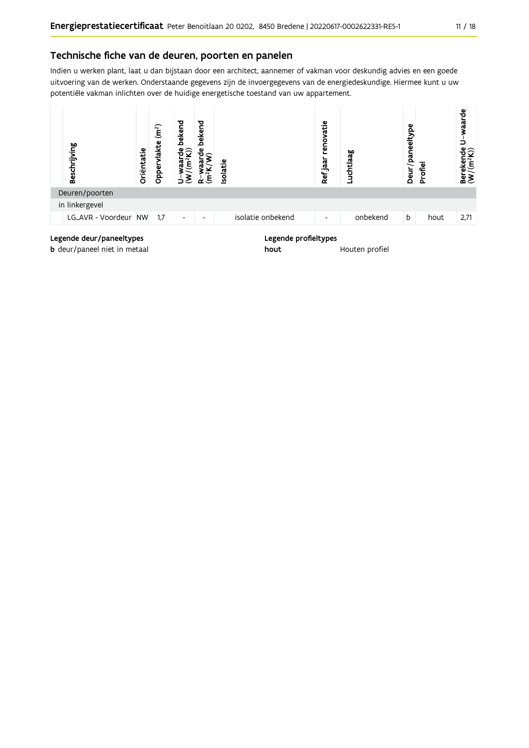# Technische fiche van de deuren, poorten en panelen

Indien u werken plant, laat u dan bijstaan door een architect, aannemer of vakman voor deskundig advies en een goede uitvoering van de werken. Onderstaande gegevens zijn de invoergegevens van de energiedeskundige. Hiermee kunt u uw potentiële vakman inlichten over de huidige energetische toestand van uw appartement.



hout

**b** deur/paneel niet in metaal

Houten profiel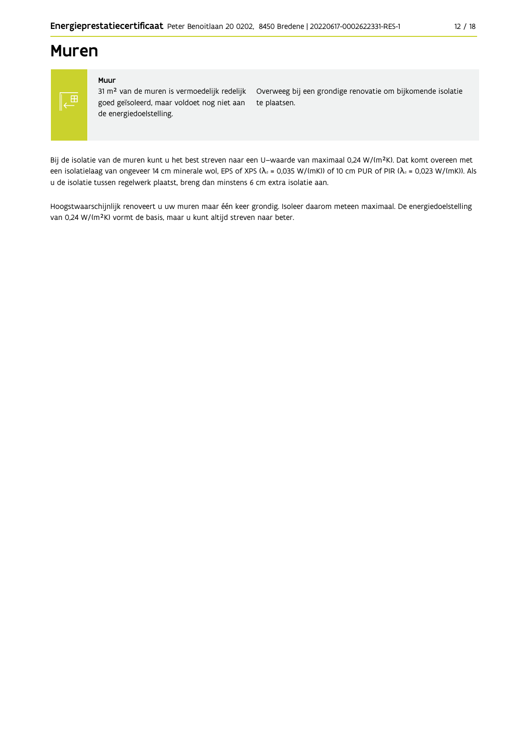# **Muren**

# ,田

### Muur

31 m<sup>2</sup> van de muren is vermoedelijk redelijk goed geïsoleerd, maar voldoet nog niet aan de energiedoelstelling.

Overweeg bij een grondige renovatie om bijkomende isolatie te plaatsen.

Bij de isolatie van de muren kunt u het best streven naar een U-waarde van maximaal 0,24 W/(m<sup>2</sup>K). Dat komt overeen met een isolatielaag van ongeveer 14 cm minerale wol, EPS of XPS ( $\lambda$ <sub>d</sub> = 0,035 W/(mK)) of 10 cm PUR of PIR ( $\lambda$ <sub>d</sub> = 0,023 W/(mK)). Als u de isolatie tussen regelwerk plaatst, breng dan minstens 6 cm extra isolatie aan.

Hoogstwaarschijnlijk renoveert u uw muren maar één keer grondig. Isoleer daarom meteen maximaal. De energiedoelstelling van 0,24 W/(m<sup>2</sup>K) vormt de basis, maar u kunt altijd streven naar beter.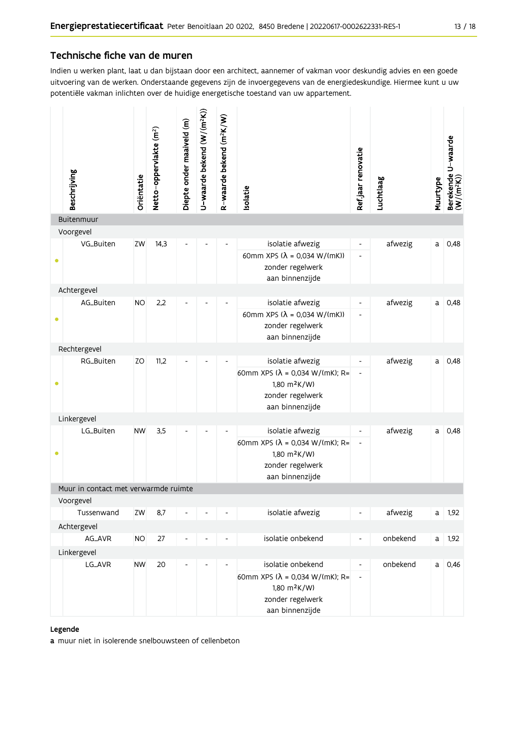# Technische fiche van de muren

Indien u werken plant, laat u dan bijstaan door een architect, aannemer of vakman voor deskundig advies en een goede uitvoering van de werken. Onderstaande gegevens zijn de invoergegevens van de energiedeskundige. Hiermee kunt u uw potentiële vakman inlichten over de huidige energetische toestand van uw appartement.

| Beschrijving                         | Oriëntatie | Netto-oppervlakte (m <sup>2</sup> ) | Diepte onder maaiveld (m) | U-waarde bekend (W/(m <sup>2</sup> K)) | R-waarde bekend (m <sup>2</sup> K/W) | solatie                                                                                                                         | Refjaar renovatie                                        | Luchtlaag | Muurtype | Berekende U-waarde<br>(W/(m <sup>2</sup> K)) |
|--------------------------------------|------------|-------------------------------------|---------------------------|----------------------------------------|--------------------------------------|---------------------------------------------------------------------------------------------------------------------------------|----------------------------------------------------------|-----------|----------|----------------------------------------------|
| Buitenmuur                           |            |                                     |                           |                                        |                                      |                                                                                                                                 |                                                          |           |          |                                              |
| Voorgevel                            |            |                                     |                           |                                        |                                      |                                                                                                                                 |                                                          |           |          |                                              |
| VG_Buiten                            | ZW         | 14,3                                |                           |                                        |                                      | isolatie afwezig<br>60mm XPS $(\lambda = 0.034 \text{ W/(mK)})$<br>zonder regelwerk<br>aan binnenzijde                          | $\overline{\phantom{a}}$<br>$\overline{\phantom{a}}$     | afwezig   | a        | 0,48                                         |
| Achtergevel                          |            |                                     |                           |                                        |                                      |                                                                                                                                 |                                                          |           |          |                                              |
| AG_Buiten                            | <b>NO</b>  | 2,2                                 |                           |                                        |                                      | isolatie afwezig<br>60mm XPS ( $\lambda$ = 0,034 W/(mK))<br>zonder regelwerk<br>aan binnenzijde                                 | $\overline{\phantom{a}}$<br>$\qquad \qquad \blacksquare$ | afwezig   | a        | 0,48                                         |
| Rechtergevel                         |            |                                     |                           |                                        |                                      |                                                                                                                                 |                                                          |           |          |                                              |
| RG_Buiten                            | ZO         | 11,2                                |                           |                                        |                                      | isolatie afwezig<br>60mm XPS ( $\lambda$ = 0,034 W/(mK); R=<br>1,80 m <sup>2</sup> K/W)<br>zonder regelwerk<br>aan binnenzijde  |                                                          | afwezig   | a        | 0,48                                         |
| Linkergevel                          |            |                                     |                           |                                        |                                      |                                                                                                                                 |                                                          |           |          |                                              |
| LG_Buiten                            | <b>NW</b>  | 3,5                                 |                           |                                        |                                      | isolatie afwezig<br>60mm XPS ( $\lambda$ = 0,034 W/(mK); R=<br>1,80 m <sup>2</sup> K/W)<br>zonder regelwerk<br>aan binnenzijde  | $\overline{\phantom{a}}$                                 | afwezig   | a        | 0,48                                         |
| Muur in contact met verwarmde ruimte |            |                                     |                           |                                        |                                      |                                                                                                                                 |                                                          |           |          |                                              |
| Voorgevel                            |            |                                     |                           |                                        |                                      |                                                                                                                                 |                                                          |           |          |                                              |
| Tussenwand                           | ZW         | 8,7                                 |                           |                                        |                                      | isolatie afwezig                                                                                                                | -                                                        | afwezig   | a        | 1,92                                         |
| Achtergevel                          |            |                                     |                           |                                        |                                      |                                                                                                                                 |                                                          |           |          |                                              |
| AG_AVR                               | <b>NO</b>  | 27                                  |                           | -                                      | $\overline{\phantom{a}}$             | isolatie onbekend                                                                                                               | $\overline{\phantom{a}}$                                 | onbekend  | a        | 1,92                                         |
| Linkergevel<br>LG_AVR                | <b>NW</b>  | 20                                  | $\overline{a}$            | -                                      |                                      | isolatie onbekend<br>60mm XPS ( $\lambda$ = 0,034 W/(mK); R=<br>1,80 m <sup>2</sup> K/W)<br>zonder regelwerk<br>aan binnenzijde | $\overline{\phantom{a}}$<br>$\overline{\phantom{a}}$     | onbekend  | a        | 0,46                                         |

### Legende

a muur niet in isolerende snelbouwsteen of cellenbeton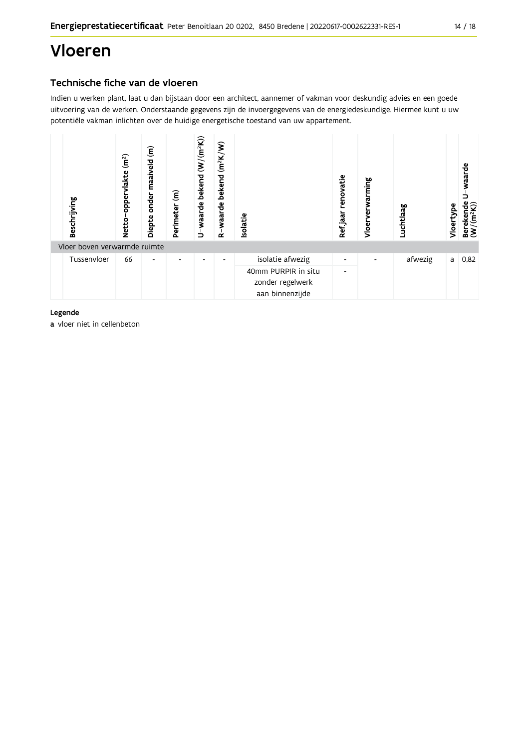# Technische fiche van de vloeren

Indien u werken plant, laat u dan bijstaan door een architect, aannemer of vakman voor deskundig advies en een goede uitvoering van de werken. Onderstaande gegevens zijn de invoergegevens van de energiedeskundige. Hiermee kunt u uw potentiële vakman inlichten over de huidige energetische toestand van uw appartement.



# Legende

a vloer niet in cellenbeton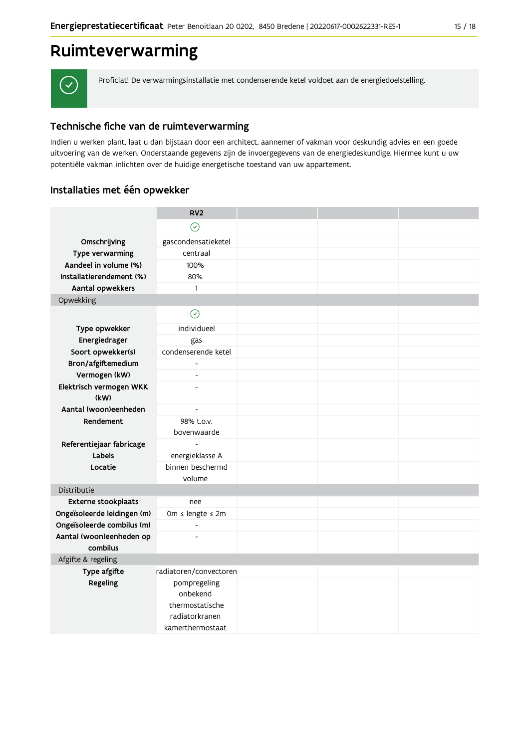

Proficiat! De verwarmingsinstallatie met condenserende ketel voldoet aan de energiedoelstelling.

# Technische fiche van de ruimteverwarming

Indien u werken plant, laat u dan bijstaan door een architect, aannemer of vakman voor deskundig advies en een goede uitvoering van de werken. Onderstaande gegevens zijn de invoergegevens van de energiedeskundige. Hiermee kunt u uw potentiële vakman inlichten over de huidige energetische toestand van uw appartement.

# Installaties met één opwekker

|                             | RV <sub>2</sub>            |  |  |  |  |
|-----------------------------|----------------------------|--|--|--|--|
|                             | $\odot$                    |  |  |  |  |
| Omschrijving                | gascondensatieketel        |  |  |  |  |
| Type verwarming             | centraal                   |  |  |  |  |
| Aandeel in volume (%)       | 100%                       |  |  |  |  |
| Installatierendement (%)    | 80%                        |  |  |  |  |
| Aantal opwekkers            | 1                          |  |  |  |  |
| Opwekking                   |                            |  |  |  |  |
|                             | $\odot$                    |  |  |  |  |
| Type opwekker               | individueel                |  |  |  |  |
| Energiedrager               | gas                        |  |  |  |  |
| Soort opwekker(s)           | condenserende ketel        |  |  |  |  |
| Bron/afgiftemedium          |                            |  |  |  |  |
| Vermogen (kW)               | $\overline{\phantom{a}}$   |  |  |  |  |
| Elektrisch vermogen WKK     | L,                         |  |  |  |  |
| (kW)                        |                            |  |  |  |  |
| Aantal (woon)eenheden       | $\overline{\phantom{a}}$   |  |  |  |  |
| Rendement                   | 98% t.o.v.                 |  |  |  |  |
|                             | bovenwaarde                |  |  |  |  |
| Referentiejaar fabricage    |                            |  |  |  |  |
| Labels                      | energieklasse A            |  |  |  |  |
| Locatie                     | binnen beschermd<br>volume |  |  |  |  |
| Distributie                 |                            |  |  |  |  |
| Externe stookplaats         | nee                        |  |  |  |  |
| Ongeïsoleerde leidingen (m) | 0m ≤ lengte ≤ 2m           |  |  |  |  |
| Ongeïsoleerde combilus (m)  | $\overline{\phantom{a}}$   |  |  |  |  |
| Aantal (woon)eenheden op    |                            |  |  |  |  |
| combilus                    |                            |  |  |  |  |
| Afgifte & regeling          |                            |  |  |  |  |
| Type afgifte                | radiatoren/convectoren     |  |  |  |  |
| Regeling                    | pompregeling               |  |  |  |  |
|                             | onbekend                   |  |  |  |  |
|                             | thermostatische            |  |  |  |  |
|                             | radiatorkranen             |  |  |  |  |
|                             | kamerthermostaat           |  |  |  |  |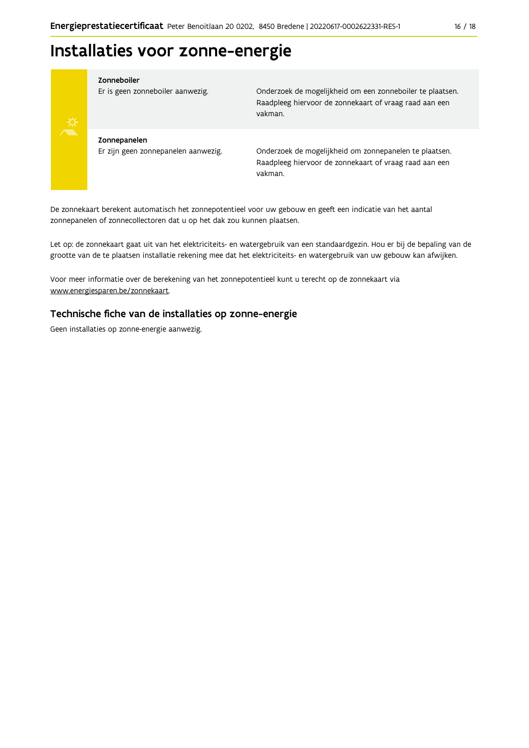# Installaties voor zonne-energie



### Zonneboiler

Er is geen zonneboiler aanwezig.

Onderzoek de mogelijkheid om een zonneboiler te plaatsen. Raadpleeg hiervoor de zonnekaart of vraag raad aan een vakman.

Zonnepanelen Er zijn geen zonnepanelen aanwezig.

Onderzoek de mogelijkheid om zonnepanelen te plaatsen. Raadpleeg hiervoor de zonnekaart of vraag raad aan een vakman.

De zonnekaart berekent automatisch het zonnepotentieel voor uw gebouw en geeft een indicatie van het aantal zonnepanelen of zonnecollectoren dat u op het dak zou kunnen plaatsen.

Let op: de zonnekaart gaat uit van het elektriciteits- en watergebruik van een standaardgezin. Hou er bij de bepaling van de grootte van de te plaatsen installatie rekening mee dat het elektriciteits- en watergebruik van uw gebouw kan afwijken.

Voor meer informatie over de berekening van het zonnepotentieel kunt u terecht op de zonnekaart via www.energiesparen.be/zonnekaart.

# Technische fiche van de installaties op zonne-energie

Geen installaties op zonne-energie aanwezig.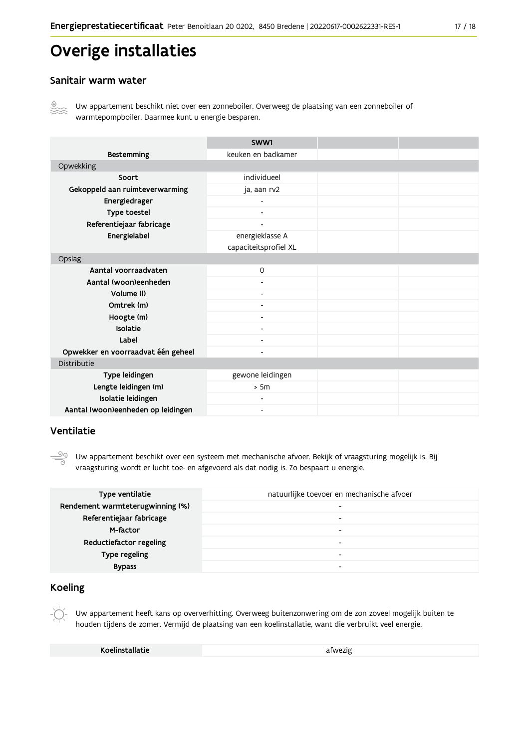# Overige installaties

# Sanitair warm water



Uw appartement beschikt niet over een zonneboiler. Overweeg de plaatsing van een zonneboiler of warmtepompboiler. Daarmee kunt u energie besparen.

|                                    | SWW1                     |  |  |
|------------------------------------|--------------------------|--|--|
| <b>Bestemming</b>                  | keuken en badkamer       |  |  |
| Opwekking                          |                          |  |  |
| Soort                              | individueel              |  |  |
| Gekoppeld aan ruimteverwarming     | ja, aan rv2              |  |  |
| Energiedrager                      | ۰                        |  |  |
| Type toestel                       | $\blacksquare$           |  |  |
| Referentiejaar fabricage           | $\overline{\phantom{0}}$ |  |  |
| Energielabel                       | energieklasse A          |  |  |
|                                    | capaciteitsprofiel XL    |  |  |
| Opslag                             |                          |  |  |
| Aantal voorraadvaten               | $\circ$                  |  |  |
| Aantal (woon)eenheden              |                          |  |  |
| Volume (I)                         |                          |  |  |
| Omtrek (m)                         |                          |  |  |
| Hoogte (m)                         | $\overline{\phantom{a}}$ |  |  |
| <b>Isolatie</b>                    |                          |  |  |
| Label                              | $\overline{\phantom{a}}$ |  |  |
| Opwekker en voorraadvat één geheel | -                        |  |  |
| Distributie                        |                          |  |  |
| Type leidingen                     | gewone leidingen         |  |  |
| Lengte leidingen (m)               | > 5m                     |  |  |
| Isolatie leidingen                 |                          |  |  |
| Aantal (woon)eenheden op leidingen |                          |  |  |

# Ventilatie

 $\frac{5}{\sqrt{2}}$ Uw appartement beschikt over een systeem met mechanische afvoer. Bekijk of vraagsturing mogelijk is. Bij vraagsturing wordt er lucht toe- en afgevoerd als dat nodig is. Zo bespaart u energie.

| Type ventilatie                  | natuurlijke toevoer en mechanische afvoer |
|----------------------------------|-------------------------------------------|
| Rendement warmteterugwinning (%) | $\overline{\phantom{0}}$                  |
| Referentiejaar fabricage         |                                           |
| M-factor                         |                                           |
| Reductiefactor regeling          |                                           |
| Type regeling                    |                                           |
| <b>Bypass</b>                    |                                           |

# **Koeling**

Uw appartement heeft kans op oververhitting. Overweeg buitenzonwering om de zon zoveel mogelijk buiten te houden tijdens de zomer. Vermijd de plaatsing van een koelinstallatie, want die verbruikt veel energie.

| Koelinstallatie | afwezig |
|-----------------|---------|
|                 |         |